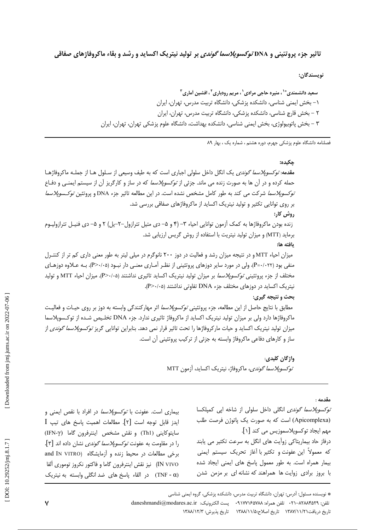تاثیر جزء پروتئینی و DNA *توکسوپلاسما گوندی* بر تولید نیتریک اکساید و رشد و بقاء ماکروفاژهای صفاقی

نويسندگان:

سعید دانشمندی ٌ ٔ '، منیره حاجی مرادی <sup>'</sup> ، مریم رودباری <sup>۲</sup> ، افشین آماری <sup>۳</sup> ۱– بخش ایمنی شناسی، دانشکده پزشکی، دانشگاه تربیت مدرس، تهران، ایران ۲ – بخش قارچ شناسی، دانشکده پزشکی، دانشگاه تربیت مدرس، تهران، ایران ۳ – بخش پاتوبیولوژی، بخش ایمنی شناسی، دانشکده بهداشت، دانشگاه علوم پزشکی تهران، تهران، ایران

فصلنامه دانشگاه علوم پزشکی جهرم، دوره هشتم ، شماره یک ، بهار ۸۹

جكىدە: مقدمه: *توكسوپلاسما گوندى* يک انگل داخل سلولى اجبارى است که به طيف وسيعى از سـلول هـا از جملـه ماکروفاژهـا حمله کرده و در آن ها به صورت زنده می ماند. جزئی از *توکسوپلاسما* که در ساز و کارگریز آن از سیستم ایمنــی و دفـاع *توكسوپلاسما* شركت مى كند به طور كامل مشخص نشده است. در اين مطالعه تاثير جزء DNA و پروتئين *توكـسوپلاسما* بر روی توانایی تکثیر و تولید نیتریک اکساید از ماکروفاژهای صفاقی بررسی شد. روش کار: زنده بودن ماکروفاژها به کمک آزمون توانایی احیاء ۳− (۴ و ۵– دی متیل تترازول−۲–یل) ۲ و ۵– دی فنیـل تترازولیـوم برماید (MTT) و میزان تولید نیتریت با استفاده از روش گریس ارزیابی شد. يافته ها: میزان احیاء MTT و در نتیجه میزان رشد و فعالیت در دوز ۲۰۰ نانوگرم در میلی لیتر به طور معنی داری کم تر از کنتـرل منفی بود (P=۰/۰۲۲)، ولی در مورد سایر دوزهای پروتئینی از نظـر آمـاری معنـی دار نبـود (P>۰/۰۵). بـه عـلاوه دوزهـای مختلف از جزء پروتئینی *توکسوپلاسما* بر میزان تولید نیتریک اکساید تاثیری نداشتند (P>٠/٠۵). میزان احیاء MTT و تولید نیتریک اکساید در دوزهای مختلف جزء DNA تفاوتی نداشتند (۳>۰/۰۵). بحث و نتیجه گیری: مطابق با نتایج حاصل از این مطالعه، جزء پروتئینی *توکسوپلاسما* اثر مهارکنندگی وابسته به دوز بر روی حیـات و فعالیـت ماکروفاژها دارد ولی بر میزان تولید نیتریک اکساید از ماکروفاژ تاثیری ندارد. جزء DNA تخلـیص شـده از توکـسوپلاسما میزان تولید نیتریک اکساید و حیات مارکروفاژها را تحت تاثیر قرار نمی دهد. بنابراین توانایی گریز *توکسوپلاسما گوندی* از ساز و کارهای دفاعی ماکروفاژ وابسته به جزئی از ترکیب پروتئینی آن است. واژگان کلیدی: *توكسوپلاسما گوندي،* ماكروفاژ، نيتريک اکسايد، آزمون MTT

مقدمه :

*توكسوپلاسما گوندى* انگلى داخل سلولى از شاخه ايى كميلكسا (Apicomplexa) است که به صورت یک پاتوژن فرصت طلب مهم ایجاد توکسوپلاسموزیس می کند [۱]. درفاز حاد بیماریتاکی زوآیت های انگل به سرعت تکثیر می یابند كه معمولاً اين عفونت و تكثير با أغاز تحريك سيستم ايمنى بیمار همراه است. به طور معمول پاسخ های ایمنی ایجاد شده با بروز برادی زوایت ها همراهند که نشانه ای بر مزمن شدن

\* نویسنده مسئول: آدرس: تهران، دانشگاه تربیت مدرس، دانشکده پزشکی، گروه ایمنی شناسی

تاريخ دريافت١٣٨٧/١١/٢١ تاريخ اصلاح:١٣٨٨/١١/٥ تاريخ پذيرش: ١٣٨٨/١٢/٣

تلفن: ٨٢٨٨٣٥٢٩-٢١٠ تلفن همراه: ٩١٧٧١۶٥٧٨٨ . يست الكترونيك: daneshmandi@modares.ac.ir

بیماری است. عفونت با *توکسوپلاسما* در افراد با نقص ایمنی و ايدز قابل توجه است [٢]. مطالعات اهميت پاسخ هاي تيپ I سايتوكايني (Th1) ونقش مشخص اينترفرون گاما (IFN-γ) را در مقاومت به عفونت *توكسوپلاسما گوندى* نشان داده اند [۳]. nd IN VITRO) برخی مطالعات در محیط زنده و آزمایشگاه (and IN VITRO IN VIVO) نيز نقش اينترفرون گاما و فاكتور نكروز توموري آلفا (TNF - α) در القاء پاسخ های ضد انگلی وابسته به نیتریک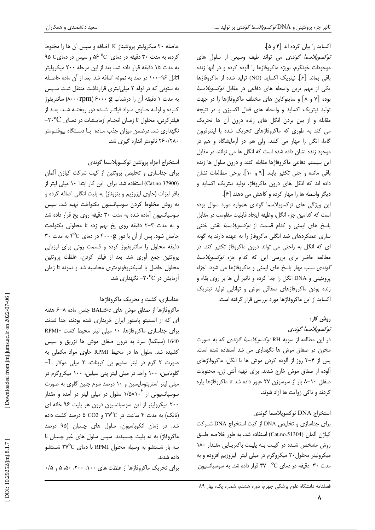## اکساید را بیان کرده اند [۴ و ۵].

*توكسوپلاسما گوندى* مى تواند طيف وسيعى از سلول هاى موجودات خونگرم، بویژه ماکروفاژها را آلوده کرده و در آنها زنده باقی بماند [۶]. نیتریک اکساید (NO) تولید شده از ماکروفاژها یکی از مهم ترین واسطه های دفاعی در مقابل *توکسوپلاسما* بوده [٧ و ٨] و سايتوكاين هاى مختلف ماكروفاژها را در جهت تولید نیتریک اکساید و واسطه های فعال اکسیژن و در نتیجه مقابله و از بین بردن انگل های زنده درون آن ها تحریک می کند به طوری که ماکروفاژهای تحریک شده با اینترفرون گاما، انگل را مهار می کنند. ولی هم در آزمایشگاه و هم در موجود زنده نشان داده شده است که انگل ها می توانند در مقابل این سیستم دفاعی ماکروفاژها مقابله کنند و درون سلول ها زنده باقی مانده و حتی تکثیر یابند [۹ و ۱۰]. برخی مطالعات نشان داده اند که انگل های درون ماکروفاژ، تولید نیتریک اکساید و دیگر واسطه ها را مهار کرده و کاهش می دهند [۶].

این ویژگی های توکسوپلاسما گوندی همواره مورد سوال بوده است كه كدامين جزء انگل، وظيفه ايجاد قابليت مقاومت در مقابل پاسخ های ایمنی و کدام قسمت از *توکسوپلاسما* نقش خنثی سازی عملکردهای ضد انگلی ماکروفاژ را به عهده دارند به گونه ای که انگل به راحتی می تواند درون ماکروفاژ تکثیر کند. در مطالعه حاضر برای بررسی این که کدام جزء *توکسوپلاسما* گو*ندی* سبب مهار پاسخ های ایمنی و ماکروفاژها می شود، اجزاء پروتئینی و DNA انگل را جدا کرده و تاثیر آن ها بر روی بقاء و زنده بودن ماکروفاژهای صفاقی موش و توانایی تولید نیتریک اکساید از این ماکروفاژها مورد بررسی قرار گرفته است.

# روش کار:

```
توكسوپلاسما گوندى
```
در این مطالعه از سویه RH *توکسوپلاسما گوندی* که به صورت مخزن در صفاق موش ها نگهداری می شد استفاده شده است. پس از ۴-۳ روز از آلوده کردن موش ها با انگل، ماکروفاژهای آلوده از صفاق موش خارج شدند. برای تهیه آنتی ژن، محتویات صفاق ۸-۱+ بار از سرسوزن ۲۷ عبور داده شد تا ماکروفاژها پاره گردند و تاکی زوآیت ها آزاد شوند.

# استخراج DNA توكسوپلاسما گوندى

برای جداسازی و تخلیص DNA از کیت استخراج DNA شرکت كياژن آلمان (Cat.no.51304) استفاده شد. به طور خلاصه طبـق روش مشخص شده در کیت به پلیت باکتریایی مقدار ١٨٠ میکرولیتر محلول۲۰ میکروگرم در میلی لیتر لیزوزیم افزوده و به مدت ۳۰ دقیقه در دمای C° ۳۷ قرار داده شد. به سوسیانسیون

حاصله ۲۰ میکرولیتر پروتئیناز K اضافه و سپس آن ها را مخلوط  $\alpha$  کرده، به مدت ۳۰ دقیقه در دمای  $\circ$ ° ۵۶ و سپس در دمای به مدت ۱۵ دقیقه قرار داده شد. بعد از این مرحله ۲۰۰ میکرولیتر اتانل ۹۶–۱۰۰ در صد به نمونه اضافه شد. بعد از آن ماده حاصـله به ستونی که در لوله ۲ میلی لیتری قرارداشت منتقل شد. سپس به مدت ١ دقيقه آن را درشتاب ۶۰۰۰ (٨٠٠٠rpm) سانتريفوژ كـرده و لولـه حـاوى مـواد فيلتـر شـده دور ريختـه شـد. بعـد از فیلترکردن، محلول تا زمـان انجـام آزمایـشات در دمـای ۲۰<sup>۰</sup>C-نگهداری شد. درضمن میزان جذب ماده با دستگاه بیوفتومتر ٢۶٠/٢٨٠ نانومتر اندازه گيري شد.

# استخراج اجزاء يروتئين توكسويلاسما گوندى

برای جداسازی و تخلیص پروتئین از کیت شرکت کیاژن آلمان (Cat.no.37900) استفاده شد. برای این کار ابتدا ۱۰ میلی لیتر از بافر لیزات (حاوی لیزوزیم و بنزوناز) به پلیت انگلی اضافه کرده و به روش مخلوط کردن سوسپانسیون یکنواخت تهیه شد. سپس سوسپانسیون آماده شده به مدت ۳۰ دقیقه روی یخ قرار داده شد و به مدت ٣-٢ دقيقه روى يخ بهم زده تا محلولى يكنواخت حاصل شود. پس از آن با دور ۴۰۰۰g در دمای ۴°C به مدت ۳۰ دقیقه محلول را سانتریفیوژ کرده و قسمت روئی برای ارزیابی پروتئین جمع آوری شد. بعد از فیلتر کردن، غلظت پروتئین محلول حاصل با اسپکتروفوتومتری محاسبه شد و نمونه تا زمان  $\sim$ ازمایش در ۲۰<sup>۰</sup>۲۰ نگهداری شد.

# جداسازی، کشت و تحریک ماکروفاژها

ماکروفاژها از صفاق موش های BALB/c جنس ماده ۸–۶ هفته ای که از انستیتو یاستور ایران خریداری شده بودند، جدا شدند. برای جداسازی ماکروفاژها، ١٠ میلی لیتر محیط کشت -RPMI 1640 (سیگما) سرد به درون صفاق موش ها تزریق و سپس کشیده شد. سلول ها در محیط RPMI حاوی مواد مکملی به صورت ۲ گرم در لیتر سدیم بی کربنات، ۲ میلی مولار L-گلوتامین، ۱۰۰ واحد در میلی لیتر پنی سیلین، ۱۰۰ میکروگرم در میلی لیتر استریتومایسین و ۱۰ درصد سرم جنین گاوی به صورت سوسپانسیونی از ۱/۵×۱/۵ سلول در میلی لیتر در آمده و مقدار ۲۰۰ میکرولیتر از این سوسپانسیون درون هر پلیت ۹۶ خانه ای (نانک) به مدت ۴ ساعت در ۳۷°C و CO2 ۵ درصد کشت داده شد. در زمان انکوباسیون، سلول های چسبان (۹۵ درصد ماکروفاژ) به ته پلیت چسبیدند. سپس سلول های غیر چسبان با سه بار شستشو به وسیله محلول RPMI با دمای ۳۷°C شستشو داده شدند.

برای تحریک ماکروفاژها از غلظت های ۱۰۰، ۲۰۰، ۵۰، ۵ و ۰/۵

فصلنامه دانشگاه علوم پزشکی جهرم، دوره هشتم، شماره یک، بهار ۸۹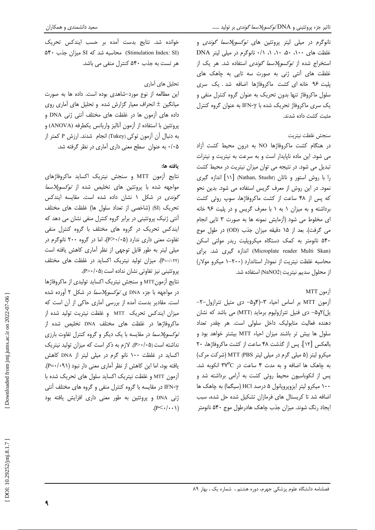نانوگرم در میلی لیتر پروتئین های *توکسوپلاسما گوندی* و غلظت های ۵۰، ۵۰، ۵۰، ۱۰، ۱/ نانوگرم در میلی لیتر DNA استخراج شده از *توکسوپلاسما گوندی* استفاده شد. هر یک از غلظت های آنتی ژنی به صورت سه تایی به چاهک های پلیت ۹۶ خانه ای کشت ماکروفاژها اضافه شد. یک سری سلول ماکروفاژ تنها بدون تحریک به عنوان گروه کنترل منفی و یک سری ماکروفاژ تحریک شده با IFN-γ به عنوان گروه کنترل مثبت كشت داده شدند.

### سنجش غلظت نيتريت

در هنگام کشت ماکروفاژها NO به درون محیط کشت آزاد می شود. این ماده ناپایدار است و به سرعت به نیتریت و نیترات تبدیل می شود. در نتیجه می توان میزان نیتریت در محیط کشت را با روش استور و ناتان (Nathan, Stuehr) [١١] اندازه گیری نمود. در این روش از معرف گریس استفاده می شود. بدین نحو که پس از ۴۸ ساعت از کشت ماکروفاژها، سوپ روئی کشت برداشته و به میزان ۱ به ۱ با معرف گریس و در پلیت ۹۶ خانه ای مخلوط می شود (آزمایش نمونه ها به صورت ٣ تایی انجام می گرفت). بعد از ۱۵ دقیقه میزان جذب (OD) در طول موج ۵۴۰ نانومتر به کمک دستگاه میکروپلیت ریدر مولتی اسکن (Microplate reader Multi Skan) اندازه گیری شد. برای محاسبه غلظت نیتریت از نمودار استاندارد (۲۰۰–۱ میکرو مولار) از محلول سديم نيتريت (NaNO2) استفاده شد.

## $MTT$  أزمون

آزمون MTT بر اساس احیاء ٣-(۴و۵- دی متیل تترازول-٢-یل)۲و۵- دی فنیل تترازولیوم برماید (MTT) می باشد که نشان دهنده فعالیت متابولیک داخل سلولی است. هر چقدر تعداد سلول ها بیش تر باشند میزان احیاء MTT بیشتر خواهد بود و بالعكس [١٢]. پس از گذشت ۴۸ ساعت از كشت ماكروفاژها، ٢٠ میکرو لیتر (۵ میلی گرم در میلی لیتر MTT (PBS (شرکت مرک) به چاهک ها اضافه و به مدت ۴ ساعت در ۳۷°C انکوبه شد. یس از انکوباسیون محیط روئی کشت به آرامی برداشته شد و ۱۰۰ میکرو لیتر ایزوپروپانول ۵ درصد HCl (سیگما) به چاهک ها اضافه شد تا کریستال های فرمازان تشکیل شده حل شده، سبب ایجاد رنگ شوند. میزان جذب چاهک هادرطول موج ۵۴۰ نانومتر

خوانده شد. نتايج بدست آمده بر حسب ايندكس تحريك (Stimulation Index: SI) محاسبه شد که SI میزان جذب ۵۴۰ هر تست به جذب ۵۴۰ کنترل منفی می باشد.

## تحلیل های آماری

این مطالعه از نوع مورد-شاهدی بوده است. داده ها به صورت میانگین ± انحراف معیار گزارش شده و تحلیل های آماری روی داده های آزمون ها در غلظت های مختلف آنتی ژنی DNA و پروتئين با استفاده از آزمون أناليز واريانس يكطرفه (ANOVA) و به دنبال أن أزمون توكي (Tukey) انجام شدند. ارزش P كمتر از ۰/۰۵ به عنوان ًسطح معنى دارى أمارى در نظر گرفته شد.

### يافته ها:

نتايج آزمون MTT و سنجش نيتريک اکسايد ماکروفاژهای مواجهه شده با پروتئین های تخلیص شده از *توکسوپلاسما* گو*ندی* در شکل ۱ نشان داده شده است. مقایسه ایندکس تحريک (SI) (شاخصي از تعداد سلول ها) غلظت هاي مختلف آنتی ژنیک پروتئینی در برابر گروه کنترل منفی نشان می دهد که ایندکس تحریک در گروه های مختلف با گروه کنترل منفی تفاوت معنی داری ندارد (P>٠/٠۵)، اما در گروه ۲۰۰ نانوگرم در میلی لیتر به طور قابل توجهی از نظر آماری کاهش یافته است (P=٠/٠٢٢). ميزان توليد نيتريک اکسايد در غلظت هاى مختلف پروتئینی نیز تفاوتی نشان نداده است (P>٠/٠۵).

نتايج آزمونMTT و سنجش نيتريك اكسايد توليدي از ماكروفاژها در مواجهه با جزء DNA ی *توکسوپلاسما* در شکل ۲ آورده شده است. مقادیر بدست آمده از بررسی آماری حاکی از آن است که میزان ایندکس تحریک MTT و غلظت نیتریت تولید شده از ماکروفاژها در غلظت های مختلف DNA تخلیص شده از *توکسوپلاسما* در مقایسه با یک دیگر و گروه کنترل تفاوت بارزی نداشته است (P>٠/٠۵). لازم به ذکر است که میزان تولید نیتریک اکساید در غلظت ۱۰۰ نانو گرم در میلی لیتر از DNA کاهش یافته بود، اما این کاهش از نظر آماری معنی دار نبود (۹۱+۰/-P). آزمون MTT و غلظت نیتریک اکساید سلول های تحریک شده با IFN-γ در مقایسه با گروه کنترل منفی و گروه های مختلف آنتی ژنی DNA و پروتئین به طور معنی داری افزایش یافته بود  $(P<\cdot/\cdot\cdot)$ 

٩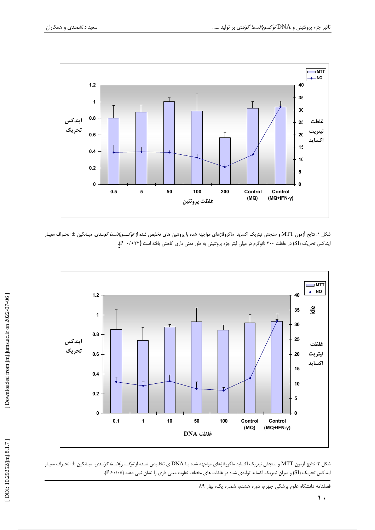

شکل ۱: نتایج آزمون MTT و سنجش نیتریک اکساید ماکروفاژهای مواجهه شده با پروتئین های تخلیص شده از *توکسوپلاسما گونـدی.* میـانگین ± انحـراف معیـار ایندکس تحریک (SI) در غلظت ۲۰۰ نانوگرم در میلی لیتر جزء پروتئینی به طور معنی داری کاهش یافته است **(۲۲+**۰/۰=P).



شکل ۲: نتایج آزمون MTT و سنجش نیتریک اکساید ماکروفاژهای مواجهه شده بـا DNA ی تخلیص شـده از *توکـسوپلاسما گونـدی*. میـانگین ± انحـراف معیـار ایندکس تحریک (SI) و میزان نیتریک اکساید تولیدی شده در غلظت های مختلف تفاوت معنی داری را نشان نمی دهند (P>٠/٠۵).

فصلنامه دانشگاه علوم پزشکی جهرم، دوره هشتم، شماره یک، بهار ۸۹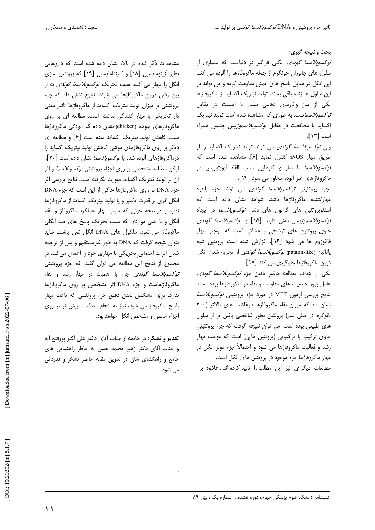يحث و نتيجه گيري:

*توکسوپلاسما گوندی* انگلی فراگیر در دنیاست که بسیاری از سلول های جانوران خونگرم از جمله ماکروفاژها را آلوده می کند. این انگل در مقابل پاسخ های ایمنی مقاومت کرده و می تواند در این سلول ها زنده باقی بماند. تولید نیتریک اکساید از ماکروفاژها یکی از ساز وکارهای دفاعی بسیار با اهمیت در مقابل *توکسوپلاسما*ست. به طوری که مشاهده شده است تولید نیتریک اکساید با محافظت در مقابل *توکسوپلاسموزیس* چشمی همراه است [١٣].

ول*ی توکسوپلاسما گوندی* می تواند تولید نیتریک اکساید را از طريق مهار iNOS كنترل نمايد [۶]. مشاهده شده است كه *توکسوپلاسما* با ساز و کارهایی سبب القاء آپوپتوزیس در ماکروفاژهای غیر آلوده مجاور می شود [۱۴].

جزء پروتئيني *توكسوپلاسما گوندي* مي تواند جزء بالقوه مهارکننده ماکروفاژها باشد. شواهد نشان داده است که استئوپروتئین های گرانول های دنس *توکسوپلاسما* در ایجاد توكس*وپلاسموزيس* نقش دارند [۱۵] و *توكسوپلاسما گوندى* حاو*ی* پروتئین های ترشحی و غشائی است که موجب مهار فاگوزوم ها می شود [۱۶]. گزارش شده است پروتئین شبه ياتاتين (patatin-like*) توكسويلاسما گوندى* از تجزيه شدن انگل درون ماکروفاژها جلوگیری می کند [۱۷].

یکی از اهداف مطالعه حاضر یافتن جزء *توکسوپلاسما گوندی* عامل بروز خاصیت های مقاومت و بقاء در ماکروفاژها بوده است. نتايج بررسي آزمون MTT در مورد جزء پروتئيني *توكسوپلاسما* نشان داد که میزان بقاء ماکروفاژها درغلظت های بالاتر (۲۰۰ نانوگرم در میلی لیتر) پروتئین بطور شاخصی پائین تر از سلول های طبیعی بوده است. می توان نتیجه گرفت که جزء پروتئینی حاوی ترکیب یا ترکیباتی (پروتئین هایی) است که موجب مهار رشد و فعالیت ماکروفاژها می شود و احتمالاً جزء موثر انگل در مهار ماکروفاژها جزء موجود در پروتئین های انگل است. مطالعات دیگر ی نیز این مطلب را تائید کرده اند . علاوه بر

مشاهدات ذکر شده در بالا، نشان داده شده است که داروهایی نظیر آزیتومایسین [۱۸] و کلیندامایسین [۱۹] که پروتئین سازی انگل را مهار می کنند سبب تحریک *توکسوپلاسما گوندی* به از بین رفتن درون ماکروفاژها می شوند. نتایج نشان داد که جزء پروتئینی بر میزان تولید نیتریک اکساید از ماکروفاژها تاثیر معنی دار تحریکی یا مهار کنندگی نداشته است. مطالعه ای بر روی ماکروفاژهای جوجه (chicken) نشان داده که آلودگی ماکروفاژها سبب کاهش تولید نیتریک اکساید شده است [۶] و مطالعه ای دیگر بر روی ماکروفاژهای موشی کاهش تولید نیتریک اکساید را درماکروفاژهای آلوده شده با *توکسوپلاسما* نشان داده است [۲۰]. لیکن مطالعه مشخصی بر روی اجزاء پروتئین*ی توکسوپلاسما* و اثر آن بر تولید نیتریک اکساید صورت نگرفته است. نتایج بررسی اثر جزء DNA بر روی ماکروفاژها حاکی از این است که جزء DNA انگل اثری بر قدرت تکثیر و یا تولید نیتریک اکساید از ماکروفاژها ندارد و درنتیجه جزئی که سبب مهار عملکرد ماکروفاژ و بقاء انگل و یا حتی مواردی که سبب تحریک پاسخ های ضد انگلی ماکروفاژ می شود، ملکول های DNA انگل نمی باشند. شاید بتوان نتیجه گرفت که DNA به طور غیرمستقیم و پس از ترجمه شدن اثرات احتمالی تحریکی با مهاری خود را اعمال میکند. در مجموع از نتایج این مطالعه می توان گفت که جزء پروتئینی *توکسوپلاسما گوندی* جزء با اهمیت در مهار رشد و بقاء ماکروفاژهاست و جزء DNA اثر مشخصی بر روی ماکروفاژها ندارد. برای مشخص شدن دقیق جزء پروتئینی که باعث مهار پاسخ ماکروفاژ می شود، نیاز به انجام مطالعات بیش تر بر روی اجزاء خالص و مشخص انگل خواهد بود.

**تقدير و تشكر:** در خاتمه از جناب آقاي دكتر على اكبر پورفتح اله و جناب آقای دکتر زهیر محمد حسن به خاطر راهنمایی های جامع و راهگشای شان در تدوین مقاله حاضر تشکر و قدردانی مے شود.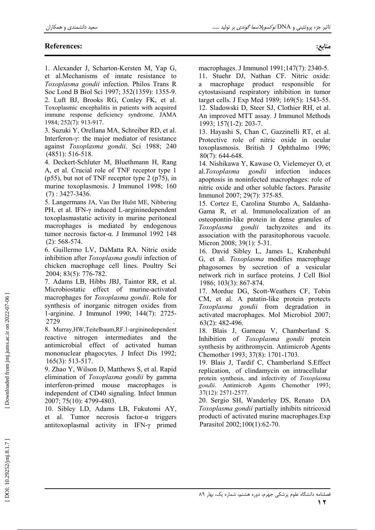## **References:**

منابع:

1. Alexander J, Scharton-Kersten M, Yap G, et al.Mechanisms of innate resistance to Toxoplasma gondii infection. Philos Trans R Soc Lond B Biol Sci 1997; 352(1359): 1355-9. 2. Luft BJ, Brooks RG, Conley FK, et al. Toxoplasmic encephalitis in patients with acquired immune response deficiency syndrome. JAMA

1984; 252(7): 913-917. 3. Suzuki Y, Orellana MA, Schreiber RD, et al. Interferon- $\gamma$ : the major mediator of resistance

against Toxoplasma gondii. Sci 1988; 240  $(4851): 516-518.$ 

4. Deckert-Schluter M, Bluethmann H, Rang A, et al. Crucial role of TNF receptor type 1 ( $p55$ ), but not of TNF receptor type 2 ( $p75$ ), in murine toxoplasmosis. J Immunol 1998; 160  $(7): 3427 - 3436.$ 

5. Langermans JA, Van Der Hulst ME, Nibbering PH, et al. IFN-γ induced L-argininedependent toxoplasmastatic activity in murine peritoneal macrophages is mediated by endogenous tumor necrosis factor-α. J Immunol 1992 148  $(2): 568-574.$ 

6. Guillermo LV, DaMatta RA. Nitric oxide inhibition after Toxoplasma gondii infection of chicken macrophage cell lines. Poultry Sci 2004; 83(5): 776-782.

7. Adams LB, Hibbs JBJ, Taintor RR, et al. Microbiostatic effect of murine-activated macrophages for *Toxoplasma gondii*. Role for synthesis of inorganic nitrogen oxides from 1-arginine. J Immunol 1990; 144(7): 2725-2729

8. Murray, HW, Teitelbaum, RF. 1-argininedependent reactive nitrogen intermediates and the antimicrobial effect of activated human mononuclear phagocytes. J Infect Dis 1992;  $165(3)$ : 513-517.

9. Zhao Y, Wilson D, Matthews S, et al. Rapid elimination of Toxoplasma gondii by gamma interferon-primed mouse macrophages is independent of CD40 signaling. Infect Immun 2007; 75(10): 4799-4803.

10. Sibley LD, Adams LB, Fukutomi AY, et al. Tumor necrosis factor- $\alpha$  triggers antitoxoplasmal activity in IFN-y primed macrophages. J Immunol 1991;147(7): 2340-5.

11. Stuehr DJ, Nathan CF. Nitric oxide: macrophage product responsible a for cytostasisand respiratory inhibition in tumor target cells. J Exp Med 1989; 169(5): 1543-55. 12. Sladowski D, Steer SJ, Clothier RH, et al. An improved MTT assay. J Immunol Methods 1993; 157(1-2): 203-7.

13. Hayashi S, Chan C, Gazzinelli RT, et al. Protective role of nitric oxide in ocular toxoplasmosis. British J Ophthalmo 1996;  $80(7)$ : 644-648.

14. Nishikawa Y, Kawase O, Vielemeyer O, et al.Toxoplasma gondii infection induces apoptosis in noninfected macrophages: role of nitric oxide and other soluble factors. Parasite Immunol 2007; 29(7): 375-85.

15. Cortez E, Carolina Stumbo A, Saldanha-Gama R, et al. Immunolocalization of an osteopontin-like protein in dense granules of Toxoplasma gondii tachyzoites and its association with the parasitophorous vacuole. Micron 2008; 39(1): 5-31.

16. David Sibley L, James L, Krahenbuhl G, et al. *Toxoplasma* modifies macrophage phagosomes by secretion of a vesicular network rich in surface proteins. J Cell Biol 1986; 103(3): 867-874.

17. Mordue DG, Scott-Weathers CF, Tobin CM, et al. A patatin-like protein protects Toxoplasma gondii from degradation in activated macrophages. Mol Microbiol 2007;  $63(2)$ : 482-496.

18. Blais J, Garneau V, Chamberland S. Inhibition of Toxoplasma gondii protein synthesis by azithromycin. Antimicrob Agents Chemother 1993; 37(8): 1701-1703.

19. Blais J, Tardif C, Chamberland S.Effect replication, of clindamycin on intracellular protein synthesis, and infectivity of Toxoplasma gondii. Antimicrob Agents Chemother 1993;  $37(12)$ : 2571-2577.

20. Sergio SH, Wanderley DS, Renato DA Toxoplasma gondii partially inhibits nitricoxid producti of activated murine macrophages. Exp Parasitol 2002;100(1):62-70.